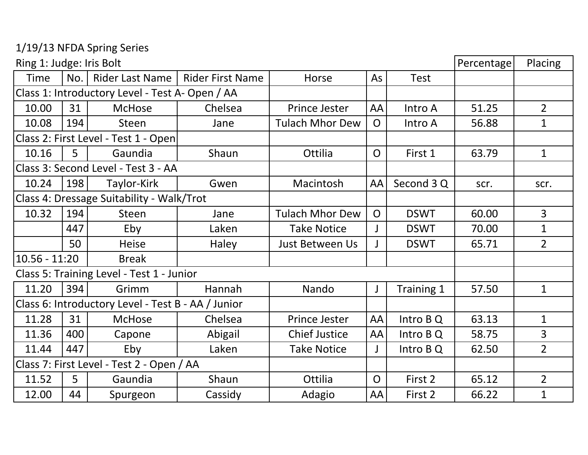1/19/13 NFDA Spring Series

| Ring 1: Judge: Iris Bolt                        |                                           |                                                    |                         |                        |                |             | Percentage | Placing        |
|-------------------------------------------------|-------------------------------------------|----------------------------------------------------|-------------------------|------------------------|----------------|-------------|------------|----------------|
| <b>Time</b>                                     | No.                                       | Rider Last Name                                    | <b>Rider First Name</b> | Horse                  | As             | <b>Test</b> |            |                |
| Class 1: Introductory Level - Test A- Open / AA |                                           |                                                    |                         |                        |                |             |            |                |
| 10.00                                           | 31                                        | <b>McHose</b>                                      | Chelsea                 | Prince Jester          | AA             | Intro A     | 51.25      | $\overline{2}$ |
| 10.08                                           | 194                                       | <b>Steen</b>                                       | Jane                    | <b>Tulach Mhor Dew</b> | $\Omega$       | Intro A     | 56.88      | $\mathbf{1}$   |
| Class 2: First Level - Test 1 - Open            |                                           |                                                    |                         |                        |                |             |            |                |
| 10.16                                           | 5                                         | Gaundia                                            | Shaun                   | Ottilia                | $\mathsf{O}$   | First 1     | 63.79      | $\mathbf{1}$   |
|                                                 |                                           | Class 3: Second Level - Test 3 - AA                |                         |                        |                |             |            |                |
| 10.24                                           | 198                                       | Taylor-Kirk                                        | Gwen                    | Macintosh              | AA             | Second 3 Q  | scr.       | scr.           |
|                                                 |                                           | Class 4: Dressage Suitability - Walk/Trot          |                         |                        |                |             |            |                |
| 10.32                                           | 194                                       | <b>Steen</b>                                       | Jane                    | <b>Tulach Mhor Dew</b> | $\Omega$       | <b>DSWT</b> | 60.00      | $\overline{3}$ |
|                                                 | 447                                       | Eby                                                | Laken                   | <b>Take Notice</b>     |                | <b>DSWT</b> | 70.00      | $\mathbf{1}$   |
|                                                 | 50                                        | <b>Heise</b>                                       | Haley                   | Just Between Us        |                | <b>DSWT</b> | 65.71      | $\overline{2}$ |
| 10.56 - 11:20<br><b>Break</b>                   |                                           |                                                    |                         |                        |                |             |            |                |
|                                                 | Class 5: Training Level - Test 1 - Junior |                                                    |                         |                        |                |             |            |                |
| 11.20                                           | 394                                       | Grimm                                              | Hannah                  | Nando                  | $\mathsf J$    | Training 1  | 57.50      | $\mathbf{1}$   |
|                                                 |                                           | Class 6: Introductory Level - Test B - AA / Junior |                         |                        |                |             |            |                |
| 11.28                                           | 31                                        | <b>McHose</b>                                      | Chelsea                 | Prince Jester          | AA             | Intro B Q   | 63.13      | $\mathbf{1}$   |
| 11.36                                           | 400                                       | Capone                                             | Abigail                 | <b>Chief Justice</b>   | AA             | Intro B Q   | 58.75      | 3              |
| 11.44                                           | 447                                       | Eby                                                | Laken                   | <b>Take Notice</b>     | J              | Intro $BQ$  | 62.50      | $\overline{2}$ |
| Class 7: First Level - Test 2 - Open / AA       |                                           |                                                    |                         |                        |                |             |            |                |
| 11.52                                           | 5 <sup>5</sup>                            | Gaundia                                            | Shaun                   | Ottilia                | $\overline{O}$ | First 2     | 65.12      | $\overline{2}$ |
| 12.00                                           | 44                                        | Spurgeon                                           | Cassidy                 | Adagio                 | AA             | First 2     | 66.22      | $\mathbf{1}$   |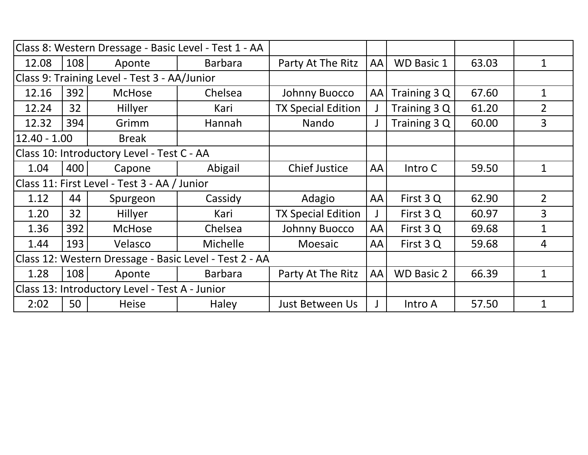|                                                        |     | Class 8: Western Dressage - Basic Level - Test 1 - AA |                |                           |              |                   |       |                |
|--------------------------------------------------------|-----|-------------------------------------------------------|----------------|---------------------------|--------------|-------------------|-------|----------------|
| 12.08                                                  | 108 | Aponte                                                | <b>Barbara</b> | Party At The Ritz         | <b>AA</b>    | <b>WD Basic 1</b> | 63.03 | 1              |
| Class 9: Training Level - Test 3 - AA/Junior           |     |                                                       |                |                           |              |                   |       |                |
| 12.16                                                  | 392 | <b>McHose</b>                                         | Chelsea        | Johnny Buocco             | AA           | Training 3 Q      | 67.60 | 1              |
| 12.24                                                  | 32  | Hillyer                                               | Kari           | <b>TX Special Edition</b> |              | Training 3 Q      | 61.20 | $\overline{2}$ |
| 12.32                                                  | 394 | Grimm                                                 | Hannah         | Nando                     |              | Training 3 Q      | 60.00 | $\overline{3}$ |
| $12.40 - 1.00$<br><b>Break</b>                         |     |                                                       |                |                           |              |                   |       |                |
|                                                        |     | Class 10: Introductory Level - Test C - AA            |                |                           |              |                   |       |                |
| 1.04                                                   | 400 | Capone                                                | Abigail        | <b>Chief Justice</b>      | <b>AA</b>    | Intro C           | 59.50 | $\mathbf{1}$   |
| Class 11: First Level - Test 3 - AA / Junior           |     |                                                       |                |                           |              |                   |       |                |
| 1.12                                                   | 44  | Spurgeon                                              | Cassidy        | Adagio                    | <b>AA</b>    | First 3 Q         | 62.90 | $\overline{2}$ |
| 1.20                                                   | 32  | Hillyer                                               | Kari           | <b>TX Special Edition</b> | $\mathsf{J}$ | First 3 Q         | 60.97 | 3              |
| 1.36                                                   | 392 | <b>McHose</b>                                         | Chelsea        | Johnny Buocco             | <b>AA</b>    | First 3 Q         | 69.68 | $\mathbf 1$    |
| 1.44                                                   | 193 | Velasco                                               | Michelle       | Moesaic                   | <b>AA</b>    | First 3 Q         | 59.68 | 4              |
| Class 12: Western Dressage - Basic Level - Test 2 - AA |     |                                                       |                |                           |              |                   |       |                |
| 1.28                                                   | 108 | Aponte                                                | <b>Barbara</b> | Party At The Ritz         | <b>AA</b>    | <b>WD Basic 2</b> | 66.39 | $\mathbf 1$    |
| Class 13: Introductory Level - Test A - Junior         |     |                                                       |                |                           |              |                   |       |                |
| 2:02                                                   | 50  | <b>Heise</b>                                          | Haley          | Just Between Us           | $\mathbf{J}$ | Intro A           | 57.50 | $\mathbf{1}$   |